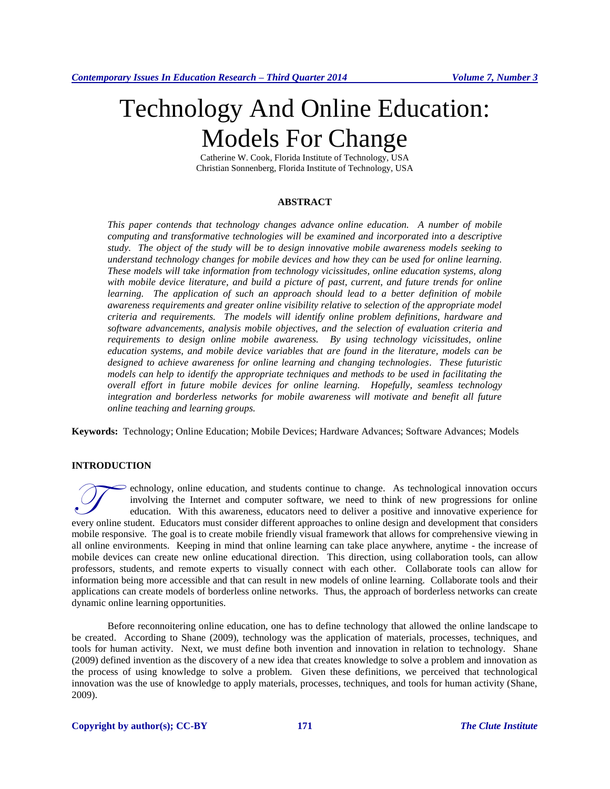# Technology And Online Education: Models For Change

Catherine W. Cook, Florida Institute of Technology, USA Christian Sonnenberg, Florida Institute of Technology, USA

### **ABSTRACT**

*This paper contends that technology changes advance online education. A number of mobile computing and transformative technologies will be examined and incorporated into a descriptive study. The object of the study will be to design innovative mobile awareness models seeking to understand technology changes for mobile devices and how they can be used for online learning. These models will take information from technology vicissitudes, online education systems, along with mobile device literature, and build a picture of past, current, and future trends for online*  learning. The application of such an approach should lead to a better definition of mobile *awareness requirements and greater online visibility relative to selection of the appropriate model criteria and requirements. The models will identify online problem definitions, hardware and software advancements, analysis mobile objectives, and the selection of evaluation criteria and requirements to design online mobile awareness. By using technology vicissitudes, online education systems, and mobile device variables that are found in the literature, models can be designed to achieve awareness for online learning and changing technologies. These futuristic models can help to identify the appropriate techniques and methods to be used in facilitating the overall effort in future mobile devices for online learning. Hopefully, seamless technology integration and borderless networks for mobile awareness will motivate and benefit all future online teaching and learning groups.*

**Keywords:** Technology; Online Education; Mobile Devices; Hardware Advances; Software Advances; Models

# **INTRODUCTION**

echnology, online education, and students continue to change. As technological innovation occurs involving the Internet and computer software, we need to think of new progressions for online education. With this awareness, educators need to deliver a positive and innovative experience for echnology, online education, and students continue to change. As technological innovation occurs involving the Internet and computer software, we need to think of new progressions for online education. With this awareness, mobile responsive. The goal is to create mobile friendly visual framework that allows for comprehensive viewing in all online environments. Keeping in mind that online learning can take place anywhere, anytime - the increase of mobile devices can create new online educational direction. This direction, using collaboration tools, can allow professors, students, and remote experts to visually connect with each other. Collaborate tools can allow for information being more accessible and that can result in new models of online learning. Collaborate tools and their applications can create models of borderless online networks. Thus, the approach of borderless networks can create dynamic online learning opportunities.

Before reconnoitering online education, one has to define technology that allowed the online landscape to be created. According to Shane (2009), technology was the application of materials, processes, techniques, and tools for human activity. Next, we must define both invention and innovation in relation to technology. Shane (2009) defined invention as the discovery of a new idea that creates knowledge to solve a problem and innovation as the process of using knowledge to solve a problem. Given these definitions, we perceived that technological innovation was the use of knowledge to apply materials, processes, techniques, and tools for human activity (Shane, 2009).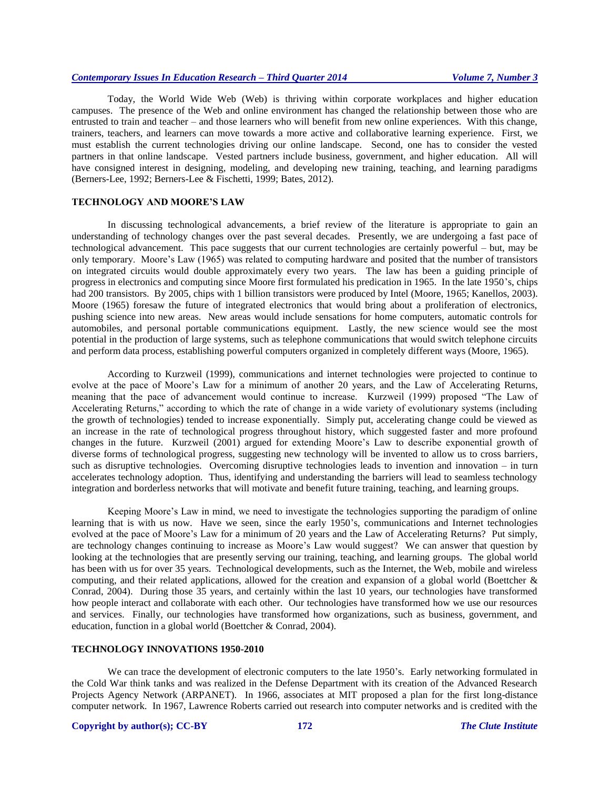Today, the World Wide Web (Web) is thriving within corporate workplaces and higher education campuses. The presence of the Web and online environment has changed the relationship between those who are entrusted to train and teacher – and those learners who will benefit from new online experiences. With this change, trainers, teachers, and learners can move towards a more active and collaborative learning experience. First, we must establish the current technologies driving our online landscape. Second, one has to consider the vested partners in that online landscape. Vested partners include business, government, and higher education. All will have consigned interest in designing, modeling, and developing new training, teaching, and learning paradigms (Berners-Lee, 1992; Berners-Lee & Fischetti, 1999; Bates, 2012).

## **TECHNOLOGY AND MOORE'S LAW**

In discussing technological advancements, a brief review of the literature is appropriate to gain an understanding of technology changes over the past several decades. Presently, we are undergoing a fast pace of technological advancement. This pace suggests that our current technologies are certainly powerful – but, may be only temporary. Moore's Law (1965) was related to computing hardware and posited that the number of transistors on integrated circuits would double approximately every two years. The law has been a guiding principle of progress in electronics and computing since Moore first formulated his predication in 1965. In the late 1950's, chips had 200 transistors. By 2005, chips with 1 billion transistors were produced by Intel (Moore, 1965; Kanellos, 2003). Moore (1965) foresaw the future of integrated electronics that would bring about a proliferation of electronics, pushing science into new areas. New areas would include sensations for home computers, automatic controls for automobiles, and personal portable communications equipment. Lastly, the new science would see the most potential in the production of large systems, such as telephone communications that would switch telephone circuits and perform data process, establishing powerful computers organized in completely different ways (Moore, 1965).

According to Kurzweil (1999), communications and internet technologies were projected to continue to evolve at the pace of Moore's Law for a minimum of another 20 years, and the Law of Accelerating Returns, meaning that the pace of advancement would continue to increase. Kurzweil (1999) proposed "The Law of Accelerating Returns," according to which the rate of change in a wide variety of evolutionary systems (including the growth of technologies) tended to increase exponentially. Simply put, accelerating change could be viewed as an increase in the rate of technological progress throughout history, which suggested faster and more profound changes in the future. Kurzweil (2001) argued for extending Moore's Law to describe exponential growth of diverse forms of technological progress, suggesting new technology will be invented to allow us to cross barriers, such as disruptive technologies. Overcoming disruptive technologies leads to invention and innovation – in turn accelerates technology adoption. Thus, identifying and understanding the barriers will lead to seamless technology integration and borderless networks that will motivate and benefit future training, teaching, and learning groups.

Keeping Moore's Law in mind, we need to investigate the technologies supporting the paradigm of online learning that is with us now. Have we seen, since the early 1950's, communications and Internet technologies evolved at the pace of Moore's Law for a minimum of 20 years and the Law of Accelerating Returns? Put simply, are technology changes continuing to increase as Moore's Law would suggest? We can answer that question by looking at the technologies that are presently serving our training, teaching, and learning groups. The global world has been with us for over 35 years. Technological developments, such as the Internet, the Web, mobile and wireless computing, and their related applications, allowed for the creation and expansion of a global world (Boettcher & Conrad, 2004). During those 35 years, and certainly within the last 10 years, our technologies have transformed how people interact and collaborate with each other. Our technologies have transformed how we use our resources and services. Finally, our technologies have transformed how organizations, such as business, government, and education, function in a global world (Boettcher & Conrad, 2004).

# **TECHNOLOGY INNOVATIONS 1950-2010**

We can trace the development of electronic computers to the late 1950's. Early networking formulated in the Cold War think tanks and was realized in the Defense Department with its creation of the Advanced Research Projects Agency Network (ARPANET). In 1966, associates at MIT proposed a plan for the first long-distance computer network. In 1967, Lawrence Roberts carried out research into computer networks and is credited with the

#### **Copyright by author(s); CC-BY 172** *The Clute Institute*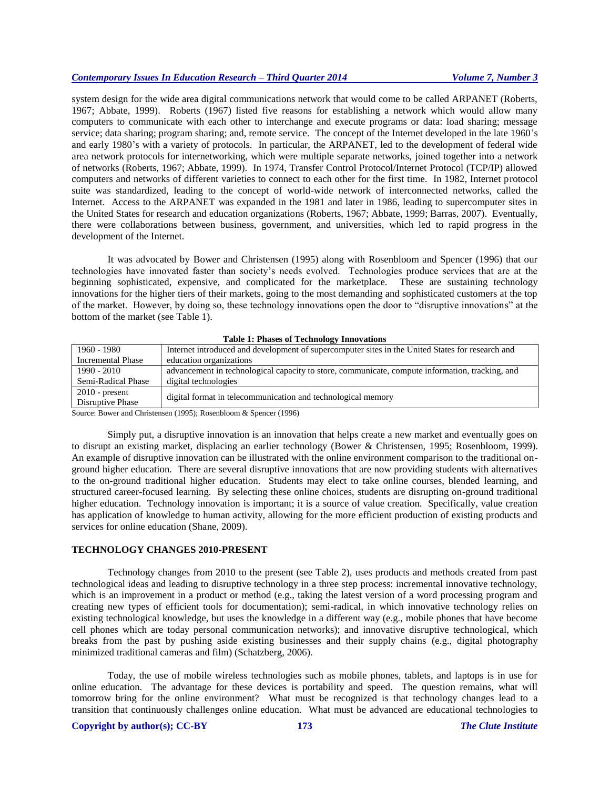system design for the wide area digital communications network that would come to be called ARPANET (Roberts, 1967; Abbate, 1999). Roberts (1967) listed five reasons for establishing a network which would allow many computers to communicate with each other to interchange and execute programs or data: load sharing; message service; data sharing; program sharing; and, remote service. The concept of the Internet developed in the late 1960's and early 1980's with a variety of protocols. In particular, the ARPANET, led to the development of federal wide area network protocols for internetworking, which were multiple separate networks, joined together into a network of networks (Roberts, 1967; Abbate, 1999). In 1974, Transfer Control Protocol/Internet Protocol (TCP/IP) allowed computers and networks of different varieties to connect to each other for the first time. In 1982, Internet protocol suite was standardized, leading to the concept of world-wide network of interconnected networks, called the Internet. Access to the ARPANET was expanded in the 1981 and later in 1986, leading to supercomputer sites in the United States for research and education organizations (Roberts, 1967; Abbate, 1999; Barras, 2007). Eventually, there were collaborations between business, government, and universities, which led to rapid progress in the development of the Internet.

It was advocated by Bower and Christensen (1995) along with Rosenbloom and Spencer (1996) that our technologies have innovated faster than society's needs evolved. Technologies produce services that are at the beginning sophisticated, expensive, and complicated for the marketplace. These are sustaining technology innovations for the higher tiers of their markets, going to the most demanding and sophisticated customers at the top of the market. However, by doing so, these technology innovations open the door to "disruptive innovations" at the bottom of the market (see Table 1).

| Table 1. I has co of Technology Hillovations |                                                                                                  |  |  |  |
|----------------------------------------------|--------------------------------------------------------------------------------------------------|--|--|--|
| 1960 - 1980                                  | Internet introduced and development of supercomputer sites in the United States for research and |  |  |  |
| <b>Incremental Phase</b>                     | education organizations                                                                          |  |  |  |
| $1990 - 2010$                                | advancement in technological capacity to store, communicate, compute information, tracking, and  |  |  |  |
| Semi-Radical Phase                           | digital technologies                                                                             |  |  |  |
| $2010$ - present                             | digital format in telecommunication and technological memory                                     |  |  |  |
| Disruptive Phase                             |                                                                                                  |  |  |  |

|  |  |  |  | <b>Table 1: Phases of Technology Innovations</b> |
|--|--|--|--|--------------------------------------------------|
|--|--|--|--|--------------------------------------------------|

Source: Bower and Christensen (1995); Rosenbloom & Spencer (1996)

Simply put, a disruptive innovation is an innovation that helps create a new market and eventually goes on to disrupt an existing market, displacing an earlier technology (Bower & Christensen, 1995; Rosenbloom, 1999). An example of disruptive innovation can be illustrated with the online environment comparison to the traditional onground higher education. There are several disruptive innovations that are now providing students with alternatives to the on-ground traditional higher education. Students may elect to take online courses, blended learning, and structured career-focused learning. By selecting these online choices, students are disrupting on-ground traditional higher education. Technology innovation is important; it is a source of value creation. Specifically, value creation has application of knowledge to human activity, allowing for the more efficient production of existing products and services for online education (Shane, 2009).

#### **TECHNOLOGY CHANGES 2010-PRESENT**

Technology changes from 2010 to the present (see Table 2), uses products and methods created from past technological ideas and leading to disruptive technology in a three step process: incremental innovative technology, which is an improvement in a product or method (e.g., taking the latest version of a word processing program and creating new types of efficient tools for documentation); semi-radical, in which innovative technology relies on existing technological knowledge, but uses the knowledge in a different way (e.g., mobile phones that have become cell phones which are today personal communication networks); and innovative disruptive technological, which breaks from the past by pushing aside existing businesses and their supply chains (e.g., digital photography minimized traditional cameras and film) (Schatzberg, 2006).

Today, the use of mobile wireless technologies such as mobile phones, tablets, and laptops is in use for online education. The advantage for these devices is portability and speed. The question remains, what will tomorrow bring for the online environment? What must be recognized is that technology changes lead to a transition that continuously challenges online education. What must be advanced are educational technologies to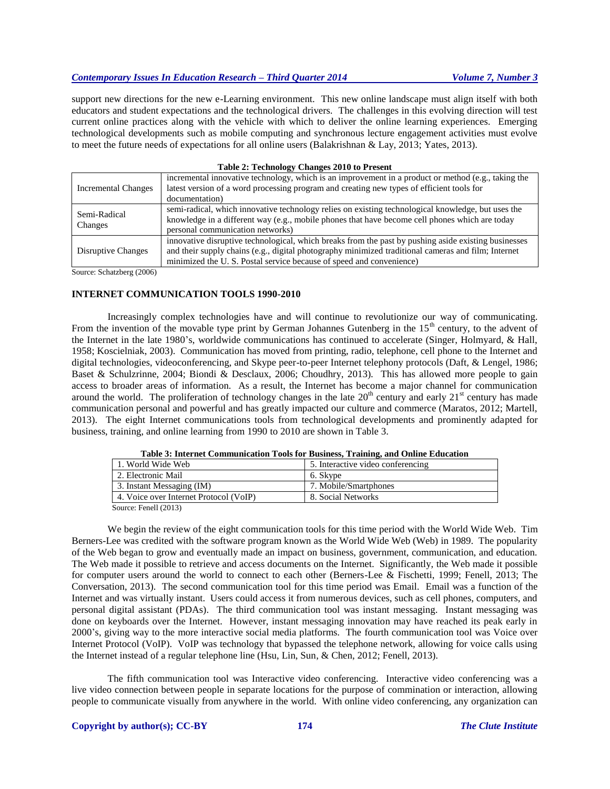support new directions for the new e-Learning environment. This new online landscape must align itself with both educators and student expectations and the technological drivers. The challenges in this evolving direction will test current online practices along with the vehicle with which to deliver the online learning experiences. Emerging technological developments such as mobile computing and synchronous lecture engagement activities must evolve to meet the future needs of expectations for all online users (Balakrishnan & Lay, 2013; Yates, 2013).

#### **Table 2: Technology Changes 2010 to Present**

| <b>Incremental Changes</b> | incremental innovative technology, which is an improvement in a product or method (e.g., taking the  |  |  |
|----------------------------|------------------------------------------------------------------------------------------------------|--|--|
|                            | latest version of a word processing program and creating new types of efficient tools for            |  |  |
|                            | documentation)                                                                                       |  |  |
| Semi-Radical<br>Changes    | semi-radical, which innovative technology relies on existing technological knowledge, but uses the   |  |  |
|                            | knowledge in a different way (e.g., mobile phones that have become cell phones which are today       |  |  |
|                            | personal communication networks)                                                                     |  |  |
| Disruptive Changes         | innovative disruptive technological, which breaks from the past by pushing aside existing businesses |  |  |
|                            | and their supply chains (e.g., digital photography minimized traditional cameras and film; Internet  |  |  |
|                            | minimized the U.S. Postal service because of speed and convenience)                                  |  |  |

Source: Schatzberg (2006)

#### **INTERNET COMMUNICATION TOOLS 1990-2010**

Increasingly complex technologies have and will continue to revolutionize our way of communicating. From the invention of the movable type print by German Johannes Gutenberg in the  $15<sup>th</sup>$  century, to the advent of the Internet in the late 1980's, worldwide communications has continued to accelerate (Singer, Holmyard, & Hall, 1958; Koscielniak, 2003). Communication has moved from printing, radio, telephone, cell phone to the Internet and digital technologies, videoconferencing, and Skype peer-to-peer Internet telephony protocols (Daft, & Lengel, 1986; Baset & Schulzrinne, 2004; Biondi & Desclaux, 2006; Choudhry, 2013). This has allowed more people to gain access to broader areas of information. As a result, the Internet has become a major channel for communication around the world. The proliferation of technology changes in the late  $20<sup>th</sup>$  century and early  $21<sup>st</sup>$  century has made communication personal and powerful and has greatly impacted our culture and commerce (Maratos, 2012; Martell, 2013). The eight Internet communications tools from technological developments and prominently adapted for business, training, and online learning from 1990 to 2010 are shown in Table 3.

| Table 5: Internet Communication Tools for Business, Training, and Omine Equication |                                   |  |  |  |
|------------------------------------------------------------------------------------|-----------------------------------|--|--|--|
| 1. World Wide Web                                                                  | 5. Interactive video conferencing |  |  |  |
| 2. Electronic Mail                                                                 | 6. Skype                          |  |  |  |
| 3. Instant Messaging (IM)                                                          | 7. Mobile/Smartphones             |  |  |  |
| 4. Voice over Internet Protocol (VoIP)                                             | 8. Social Networks                |  |  |  |
| $C = \Gamma$ 11 (0.01.0)                                                           |                                   |  |  |  |

**Table 3: Internet Communication Tools for Business, Training, and Online Education**

Source: Fenell (2013)

We begin the review of the eight communication tools for this time period with the World Wide Web. Tim Berners-Lee was credited with the software program known as the World Wide Web (Web) in 1989. The popularity of the Web began to grow and eventually made an impact on business, government, communication, and education. The Web made it possible to retrieve and access documents on the Internet. Significantly, the Web made it possible for computer users around the world to connect to each other (Berners-Lee & Fischetti, 1999; Fenell, 2013; The Conversation, 2013). The second communication tool for this time period was Email. Email was a function of the Internet and was virtually instant. Users could access it from numerous devices, such as cell phones, computers, and personal digital assistant (PDAs). The third communication tool was instant messaging. Instant messaging was done on keyboards over the Internet. However, instant messaging innovation may have reached its peak early in 2000's, giving way to the more interactive social media platforms. The fourth communication tool was Voice over Internet Protocol (VoIP). VoIP was technology that bypassed the telephone network, allowing for voice calls using the Internet instead of a regular telephone line (Hsu, Lin, Sun, & Chen, 2012; Fenell, 2013).

The fifth communication tool was Interactive video conferencing. Interactive video conferencing was a live video connection between people in separate locations for the purpose of commination or interaction, allowing people to communicate visually from anywhere in the world. With online video conferencing, any organization can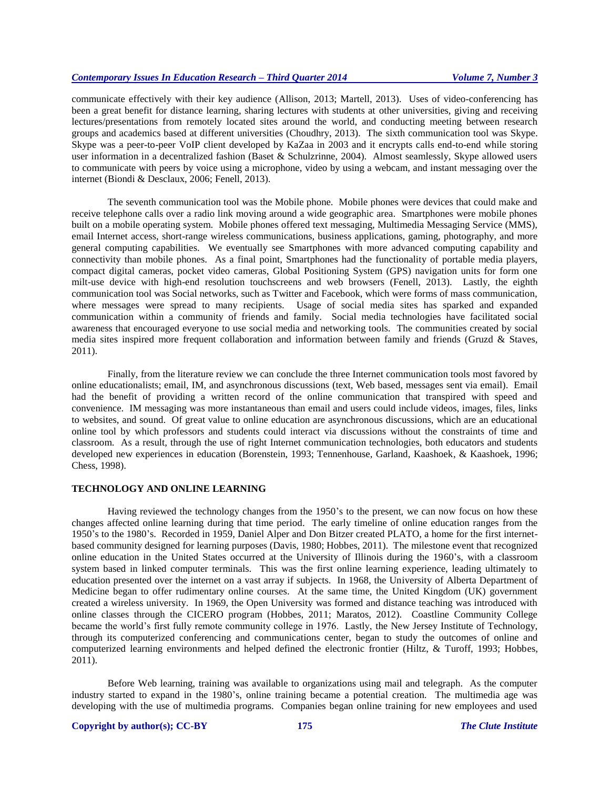communicate effectively with their key audience (Allison, 2013; Martell, 2013). Uses of video-conferencing has been a great benefit for distance learning, sharing lectures with students at other universities, giving and receiving lectures/presentations from remotely located sites around the world, and conducting meeting between research groups and academics based at different universities (Choudhry, 2013). The sixth communication tool was Skype. Skype was a peer-to-peer VoIP client developed by KaZaa in 2003 and it encrypts calls end-to-end while storing user information in a decentralized fashion (Baset & Schulzrinne, 2004). Almost seamlessly, Skype allowed users to communicate with peers by voice using a microphone, video by using a webcam, and instant messaging over the internet (Biondi & Desclaux, 2006; Fenell, 2013).

The seventh communication tool was the Mobile phone. Mobile phones were devices that could make and receive telephone calls over a radio link moving around a wide geographic area. Smartphones were mobile phones built on a mobile operating system. Mobile phones offered text messaging, Multimedia Messaging Service (MMS), email Internet access, short-range wireless communications, business applications, gaming, photography, and more general computing capabilities. We eventually see Smartphones with more advanced computing capability and connectivity than mobile phones. As a final point, Smartphones had the functionality of portable media players, compact digital cameras, pocket video cameras, Global Positioning System (GPS) navigation units for form one milt-use device with high-end resolution touchscreens and web browsers (Fenell, 2013). Lastly, the eighth communication tool was Social networks, such as Twitter and Facebook, which were forms of mass communication, where messages were spread to many recipients. Usage of social media sites has sparked and expanded communication within a community of friends and family. Social media technologies have facilitated social awareness that encouraged everyone to use social media and networking tools. The communities created by social media sites inspired more frequent collaboration and information between family and friends (Gruzd & Staves, 2011).

Finally, from the literature review we can conclude the three Internet communication tools most favored by online educationalists; email, IM, and asynchronous discussions (text, Web based, messages sent via email). Email had the benefit of providing a written record of the online communication that transpired with speed and convenience. IM messaging was more instantaneous than email and users could include videos, images, files, links to websites, and sound. Of great value to online education are asynchronous discussions, which are an educational online tool by which professors and students could interact via discussions without the constraints of time and classroom. As a result, through the use of right Internet communication technologies, both educators and students developed new experiences in education (Borenstein, 1993; Tennenhouse, Garland, Kaashoek, & Kaashoek, 1996; Chess, 1998).

# **TECHNOLOGY AND ONLINE LEARNING**

Having reviewed the technology changes from the 1950's to the present, we can now focus on how these changes affected online learning during that time period. The early timeline of online education ranges from the 1950's to the 1980's. Recorded in 1959, Daniel Alper and Don Bitzer created PLATO, a home for the first internetbased community designed for learning purposes (Davis, 1980; Hobbes, 2011). The milestone event that recognized online education in the United States occurred at the University of Illinois during the 1960's, with a classroom system based in linked computer terminals. This was the first online learning experience, leading ultimately to education presented over the internet on a vast array if subjects. In 1968, the University of Alberta Department of Medicine began to offer rudimentary online courses. At the same time, the United Kingdom (UK) government created a wireless university. In 1969, the Open University was formed and distance teaching was introduced with online classes through the CICERO program (Hobbes, 2011; Maratos, 2012). Coastline Community College became the world's first fully remote community college in 1976. Lastly, the New Jersey Institute of Technology, through its computerized conferencing and communications center, began to study the outcomes of online and computerized learning environments and helped defined the electronic frontier (Hiltz, & Turoff, 1993; Hobbes, 2011).

Before Web learning, training was available to organizations using mail and telegraph. As the computer industry started to expand in the 1980's, online training became a potential creation. The multimedia age was developing with the use of multimedia programs. Companies began online training for new employees and used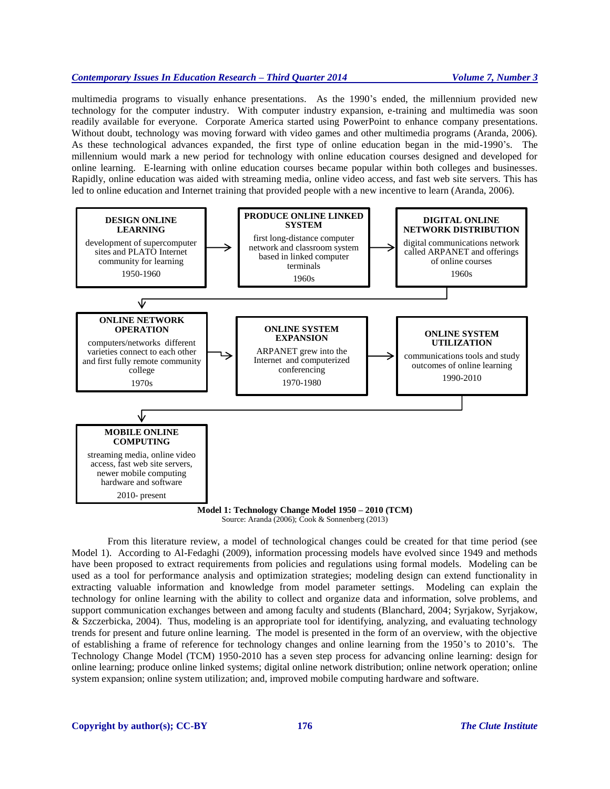multimedia programs to visually enhance presentations. As the 1990's ended, the millennium provided new technology for the computer industry. With computer industry expansion, e-training and multimedia was soon readily available for everyone. Corporate America started using PowerPoint to enhance company presentations. Without doubt, technology was moving forward with video games and other multimedia programs (Aranda, 2006). As these technological advances expanded, the first type of online education began in the mid-1990's. The millennium would mark a new period for technology with online education courses designed and developed for online learning. E-learning with online education courses became popular within both colleges and businesses. Rapidly, online education was aided with streaming media, online video access, and fast web site servers. This has led to online education and Internet training that provided people with a new incentive to learn (Aranda, 2006).



Source: Aranda (2006); Cook & Sonnenberg (2013)

From this literature review, a model of technological changes could be created for that time period (see Model 1). According to Al-Fedaghi (2009), information processing models have evolved since 1949 and methods have been proposed to extract requirements from policies and regulations using formal models. Modeling can be used as a tool for performance analysis and optimization strategies; modeling design can extend functionality in extracting valuable information and knowledge from model parameter settings. Modeling can explain the technology for online learning with the ability to collect and organize data and information, solve problems, and support communication exchanges between and among faculty and students (Blanchard, 2004; Syrjakow, Syrjakow, & Szczerbicka, 2004). Thus, modeling is an appropriate tool for identifying, analyzing, and evaluating technology trends for present and future online learning. The model is presented in the form of an overview, with the objective of establishing a frame of reference for technology changes and online learning from the 1950's to 2010's. The Technology Change Model (TCM) 1950-2010 has a seven step process for advancing online learning: design for online learning; produce online linked systems; digital online network distribution; online network operation; online system expansion; online system utilization; and, improved mobile computing hardware and software.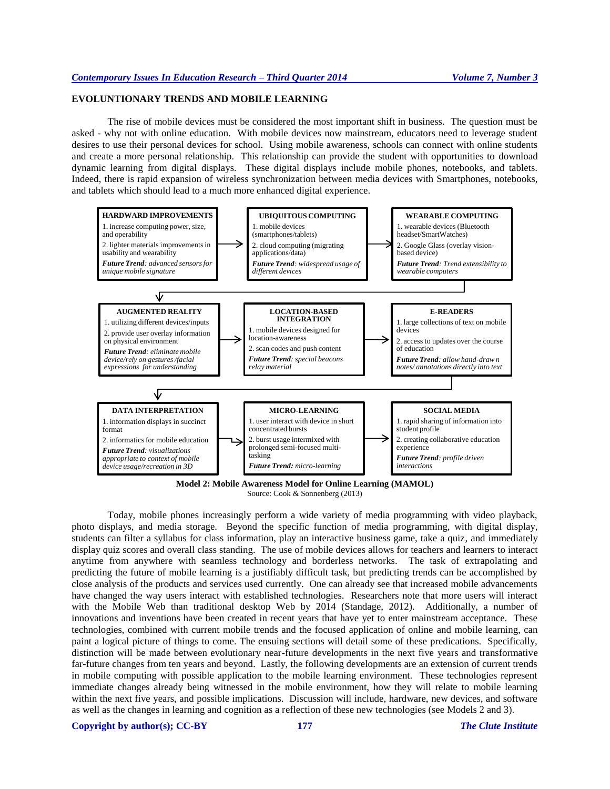# **EVOLUNTIONARY TRENDS AND MOBILE LEARNING**

The rise of mobile devices must be considered the most important shift in business. The question must be asked - why not with online education. With mobile devices now mainstream, educators need to leverage student desires to use their personal devices for school. Using mobile awareness, schools can connect with online students and create a more personal relationship. This relationship can provide the student with opportunities to download dynamic learning from digital displays. These digital displays include mobile phones, notebooks, and tablets. Indeed, there is rapid expansion of wireless synchronization between media devices with Smartphones, notebooks, and tablets which should lead to a much more enhanced digital experience.



**Model 2: Mobile Awareness Model for Online Learning (MAMOL)** Source: Cook & Sonnenberg (2013)

Today, mobile phones increasingly perform a wide variety of media programming with video playback, photo displays, and media storage. Beyond the specific function of media programming, with digital display, students can filter a syllabus for class information, play an interactive business game, take a quiz, and immediately display quiz scores and overall class standing. The use of mobile devices allows for teachers and learners to interact anytime from anywhere with seamless technology and borderless networks. The task of extrapolating and predicting the future of mobile learning is a justifiably difficult task, but predicting trends can be accomplished by close analysis of the products and services used currently. One can already see that increased mobile advancements have changed the way users interact with established technologies. Researchers note that more users will interact with the Mobile Web than traditional desktop Web by 2014 (Standage, 2012). Additionally, a number of innovations and inventions have been created in recent years that have yet to enter mainstream acceptance. These technologies, combined with current mobile trends and the focused application of online and mobile learning, can paint a logical picture of things to come. The ensuing sections will detail some of these predications. Specifically, distinction will be made between evolutionary near-future developments in the next five years and transformative far-future changes from ten years and beyond. Lastly, the following developments are an extension of current trends in mobile computing with possible application to the mobile learning environment. These technologies represent immediate changes already being witnessed in the mobile environment, how they will relate to mobile learning within the next five years, and possible implications. Discussion will include, hardware, new devices, and software as well as the changes in learning and cognition as a reflection of these new technologies (see Models 2 and 3).

**Copyright by author(s); CC-BY 177** *The Clute Institute*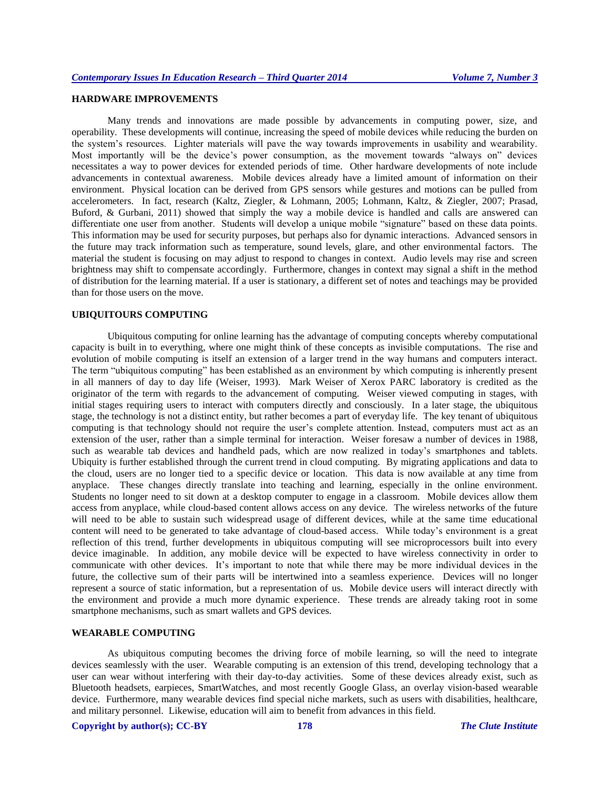# **HARDWARE IMPROVEMENTS**

Many trends and innovations are made possible by advancements in computing power, size, and operability. These developments will continue, increasing the speed of mobile devices while reducing the burden on the system's resources. Lighter materials will pave the way towards improvements in usability and wearability. Most importantly will be the device's power consumption, as the movement towards "always on" devices necessitates a way to power devices for extended periods of time. Other hardware developments of note include advancements in contextual awareness. Mobile devices already have a limited amount of information on their environment. Physical location can be derived from GPS sensors while gestures and motions can be pulled from accelerometers. In fact, research (Kaltz, Ziegler, & Lohmann, 2005; Lohmann, Kaltz, & Ziegler, 2007; Prasad, Buford, & Gurbani, 2011) showed that simply the way a mobile device is handled and calls are answered can differentiate one user from another. Students will develop a unique mobile "signature" based on these data points. This information may be used for security purposes, but perhaps also for dynamic interactions. Advanced sensors in the future may track information such as temperature, sound levels, glare, and other environmental factors. The material the student is focusing on may adjust to respond to changes in context. Audio levels may rise and screen brightness may shift to compensate accordingly. Furthermore, changes in context may signal a shift in the method of distribution for the learning material. If a user is stationary, a different set of notes and teachings may be provided than for those users on the move.

## **UBIQUITOURS COMPUTING**

Ubiquitous computing for online learning has the advantage of computing concepts whereby computational capacity is built in to everything, where one might think of these concepts as invisible computations. The rise and evolution of mobile computing is itself an extension of a larger trend in the way humans and computers interact. The term "ubiquitous computing" has been established as an environment by which computing is inherently present in all manners of day to day life (Weiser, 1993). Mark Weiser of Xerox PARC laboratory is credited as the originator of the term with regards to the advancement of computing. Weiser viewed computing in stages, with initial stages requiring users to interact with computers directly and consciously. In a later stage, the ubiquitous stage, the technology is not a distinct entity, but rather becomes a part of everyday life. The key tenant of ubiquitous computing is that technology should not require the user's complete attention. Instead, computers must act as an extension of the user, rather than a simple terminal for interaction. Weiser foresaw a number of devices in 1988, such as wearable tab devices and handheld pads, which are now realized in today's smartphones and tablets. Ubiquity is further established through the current trend in cloud computing. By migrating applications and data to the cloud, users are no longer tied to a specific device or location. This data is now available at any time from anyplace. These changes directly translate into teaching and learning, especially in the online environment. Students no longer need to sit down at a desktop computer to engage in a classroom. Mobile devices allow them access from anyplace, while cloud-based content allows access on any device. The wireless networks of the future will need to be able to sustain such widespread usage of different devices, while at the same time educational content will need to be generated to take advantage of cloud-based access. While today's environment is a great reflection of this trend, further developments in ubiquitous computing will see microprocessors built into every device imaginable. In addition, any mobile device will be expected to have wireless connectivity in order to communicate with other devices. It's important to note that while there may be more individual devices in the future, the collective sum of their parts will be intertwined into a seamless experience. Devices will no longer represent a source of static information, but a representation of us. Mobile device users will interact directly with the environment and provide a much more dynamic experience. These trends are already taking root in some smartphone mechanisms, such as smart wallets and GPS devices.

### **WEARABLE COMPUTING**

As ubiquitous computing becomes the driving force of mobile learning, so will the need to integrate devices seamlessly with the user. Wearable computing is an extension of this trend, developing technology that a user can wear without interfering with their day-to-day activities. Some of these devices already exist, such as Bluetooth headsets, earpieces, SmartWatches, and most recently Google Glass, an overlay vision-based wearable device. Furthermore, many wearable devices find special niche markets, such as users with disabilities, healthcare, and military personnel. Likewise, education will aim to benefit from advances in this field.

# **Copyright by author(s); CC-BY 178** *The Clute Institute*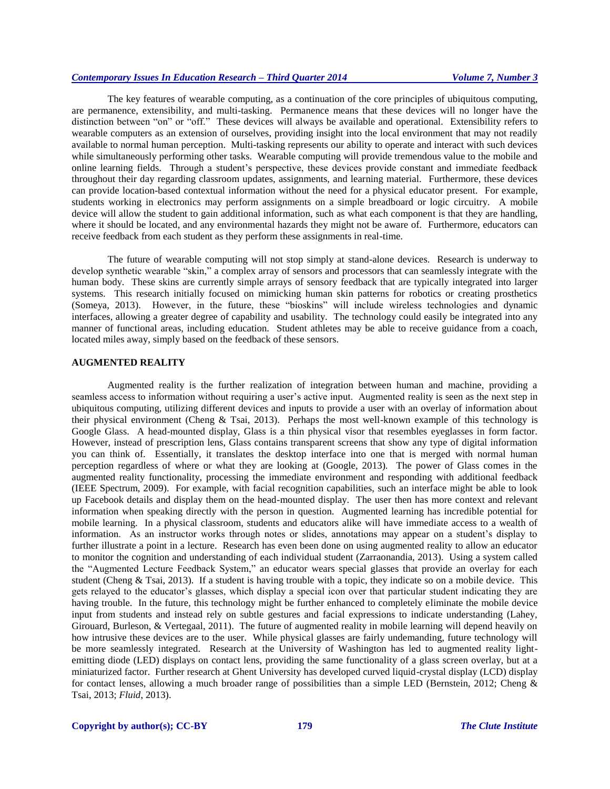The key features of wearable computing, as a continuation of the core principles of ubiquitous computing, are permanence, extensibility, and multi-tasking. Permanence means that these devices will no longer have the distinction between "on" or "off." These devices will always be available and operational. Extensibility refers to wearable computers as an extension of ourselves, providing insight into the local environment that may not readily available to normal human perception. Multi-tasking represents our ability to operate and interact with such devices while simultaneously performing other tasks. Wearable computing will provide tremendous value to the mobile and online learning fields. Through a student's perspective, these devices provide constant and immediate feedback throughout their day regarding classroom updates, assignments, and learning material. Furthermore, these devices can provide location-based contextual information without the need for a physical educator present. For example, students working in electronics may perform assignments on a simple breadboard or logic circuitry. A mobile device will allow the student to gain additional information, such as what each component is that they are handling, where it should be located, and any environmental hazards they might not be aware of. Furthermore, educators can receive feedback from each student as they perform these assignments in real-time.

The future of wearable computing will not stop simply at stand-alone devices. Research is underway to develop synthetic wearable "skin," a complex array of sensors and processors that can seamlessly integrate with the human body. These skins are currently simple arrays of sensory feedback that are typically integrated into larger systems. This research initially focused on mimicking human skin patterns for robotics or creating prosthetics (Someya, 2013). However, in the future, these "bioskins" will include wireless technologies and dynamic interfaces, allowing a greater degree of capability and usability. The technology could easily be integrated into any manner of functional areas, including education. Student athletes may be able to receive guidance from a coach, located miles away, simply based on the feedback of these sensors.

#### **AUGMENTED REALITY**

Augmented reality is the further realization of integration between human and machine, providing a seamless access to information without requiring a user's active input. Augmented reality is seen as the next step in ubiquitous computing, utilizing different devices and inputs to provide a user with an overlay of information about their physical environment (Cheng & Tsai, 2013). Perhaps the most well-known example of this technology is Google Glass. A head-mounted display, Glass is a thin physical visor that resembles eyeglasses in form factor. However, instead of prescription lens, Glass contains transparent screens that show any type of digital information you can think of. Essentially, it translates the desktop interface into one that is merged with normal human perception regardless of where or what they are looking at (Google, 2013). The power of Glass comes in the augmented reality functionality, processing the immediate environment and responding with additional feedback (IEEE Spectrum, 2009). For example, with facial recognition capabilities, such an interface might be able to look up Facebook details and display them on the head-mounted display. The user then has more context and relevant information when speaking directly with the person in question. Augmented learning has incredible potential for mobile learning. In a physical classroom, students and educators alike will have immediate access to a wealth of information. As an instructor works through notes or slides, annotations may appear on a student's display to further illustrate a point in a lecture. Research has even been done on using augmented reality to allow an educator to monitor the cognition and understanding of each individual student (Zarraonandia, 2013). Using a system called the "Augmented Lecture Feedback System," an educator wears special glasses that provide an overlay for each student (Cheng & Tsai, 2013). If a student is having trouble with a topic, they indicate so on a mobile device. This gets relayed to the educator's glasses, which display a special icon over that particular student indicating they are having trouble. In the future, this technology might be further enhanced to completely eliminate the mobile device input from students and instead rely on subtle gestures and facial expressions to indicate understanding (Lahey, Girouard, Burleson, & Vertegaal, 2011). The future of augmented reality in mobile learning will depend heavily on how intrusive these devices are to the user. While physical glasses are fairly undemanding, future technology will be more seamlessly integrated. Research at the University of Washington has led to augmented reality lightemitting diode (LED) displays on contact lens, providing the same functionality of a glass screen overlay, but at a miniaturized factor. Further research at Ghent University has developed curved liquid-crystal display (LCD) display for contact lenses, allowing a much broader range of possibilities than a simple LED (Bernstein, 2012; Cheng & Tsai, 2013; *Fluid*, 2013).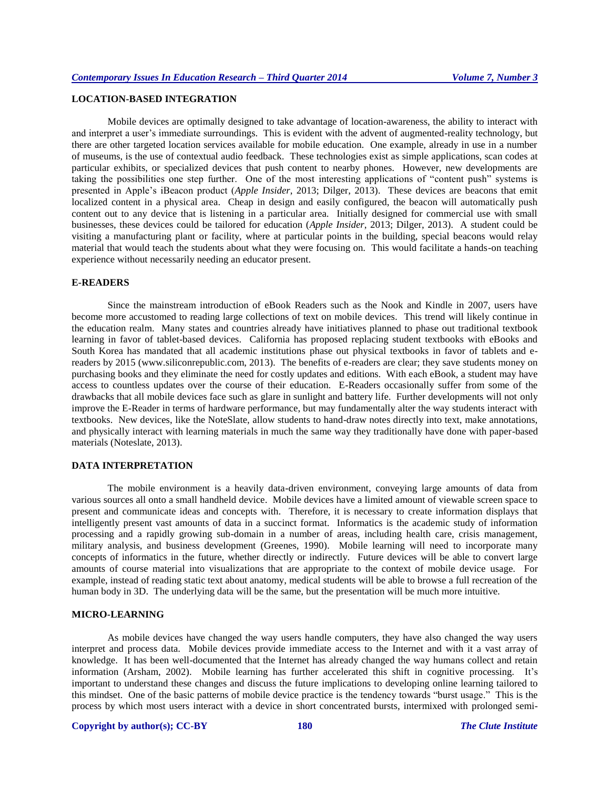# **LOCATION-BASED INTEGRATION**

Mobile devices are optimally designed to take advantage of location-awareness, the ability to interact with and interpret a user's immediate surroundings. This is evident with the advent of augmented-reality technology, but there are other targeted location services available for mobile education. One example, already in use in a number of museums, is the use of contextual audio feedback. These technologies exist as simple applications, scan codes at particular exhibits, or specialized devices that push content to nearby phones. However, new developments are taking the possibilities one step further. One of the most interesting applications of "content push" systems is presented in Apple's iBeacon product (*Apple Insider*, 2013; Dilger, 2013). These devices are beacons that emit localized content in a physical area. Cheap in design and easily configured, the beacon will automatically push content out to any device that is listening in a particular area. Initially designed for commercial use with small businesses, these devices could be tailored for education (*Apple Insider*, 2013; Dilger, 2013). A student could be visiting a manufacturing plant or facility, where at particular points in the building, special beacons would relay material that would teach the students about what they were focusing on. This would facilitate a hands-on teaching experience without necessarily needing an educator present.

# **E-READERS**

Since the mainstream introduction of eBook Readers such as the Nook and Kindle in 2007, users have become more accustomed to reading large collections of text on mobile devices. This trend will likely continue in the education realm. Many states and countries already have initiatives planned to phase out traditional textbook learning in favor of tablet-based devices. California has proposed replacing student textbooks with eBooks and South Korea has mandated that all academic institutions phase out physical textbooks in favor of tablets and ereaders by 2015 (www.siliconrepublic.com, 2013). The benefits of e-readers are clear; they save students money on purchasing books and they eliminate the need for costly updates and editions. With each eBook, a student may have access to countless updates over the course of their education. E-Readers occasionally suffer from some of the drawbacks that all mobile devices face such as glare in sunlight and battery life. Further developments will not only improve the E-Reader in terms of hardware performance, but may fundamentally alter the way students interact with textbooks. New devices, like the NoteSlate, allow students to hand-draw notes directly into text, make annotations, and physically interact with learning materials in much the same way they traditionally have done with paper-based materials (Noteslate, 2013).

# **DATA INTERPRETATION**

The mobile environment is a heavily data-driven environment, conveying large amounts of data from various sources all onto a small handheld device. Mobile devices have a limited amount of viewable screen space to present and communicate ideas and concepts with. Therefore, it is necessary to create information displays that intelligently present vast amounts of data in a succinct format. Informatics is the academic study of information processing and a rapidly growing sub-domain in a number of areas, including health care, crisis management, military analysis, and business development (Greenes, 1990). Mobile learning will need to incorporate many concepts of informatics in the future, whether directly or indirectly. Future devices will be able to convert large amounts of course material into visualizations that are appropriate to the context of mobile device usage. For example, instead of reading static text about anatomy, medical students will be able to browse a full recreation of the human body in 3D. The underlying data will be the same, but the presentation will be much more intuitive.

# **MICRO-LEARNING**

As mobile devices have changed the way users handle computers, they have also changed the way users interpret and process data. Mobile devices provide immediate access to the Internet and with it a vast array of knowledge. It has been well-documented that the Internet has already changed the way humans collect and retain information (Arsham, 2002). Mobile learning has further accelerated this shift in cognitive processing. It's important to understand these changes and discuss the future implications to developing online learning tailored to this mindset. One of the basic patterns of mobile device practice is the tendency towards "burst usage." This is the process by which most users interact with a device in short concentrated bursts, intermixed with prolonged semi-

## **Copyright by author(s); CC-BY 180** *The Clute Institute*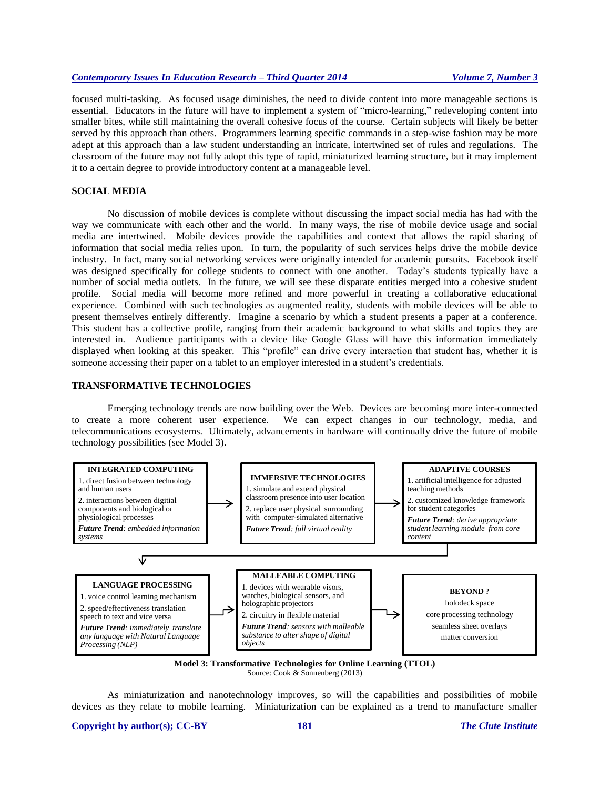focused multi-tasking. As focused usage diminishes, the need to divide content into more manageable sections is essential. Educators in the future will have to implement a system of "micro-learning," redeveloping content into smaller bites, while still maintaining the overall cohesive focus of the course. Certain subjects will likely be better served by this approach than others. Programmers learning specific commands in a step-wise fashion may be more adept at this approach than a law student understanding an intricate, intertwined set of rules and regulations. The classroom of the future may not fully adopt this type of rapid, miniaturized learning structure, but it may implement it to a certain degree to provide introductory content at a manageable level.

# **SOCIAL MEDIA**

No discussion of mobile devices is complete without discussing the impact social media has had with the way we communicate with each other and the world. In many ways, the rise of mobile device usage and social media are intertwined. Mobile devices provide the capabilities and context that allows the rapid sharing of information that social media relies upon. In turn, the popularity of such services helps drive the mobile device industry. In fact, many social networking services were originally intended for academic pursuits. Facebook itself was designed specifically for college students to connect with one another. Today's students typically have a number of social media outlets. In the future, we will see these disparate entities merged into a cohesive student profile. Social media will become more refined and more powerful in creating a collaborative educational experience. Combined with such technologies as augmented reality, students with mobile devices will be able to present themselves entirely differently. Imagine a scenario by which a student presents a paper at a conference. This student has a collective profile, ranging from their academic background to what skills and topics they are interested in. Audience participants with a device like Google Glass will have this information immediately displayed when looking at this speaker. This "profile" can drive every interaction that student has, whether it is someone accessing their paper on a tablet to an employer interested in a student's credentials.

#### **TRANSFORMATIVE TECHNOLOGIES**

Emerging technology trends are now building over the Web. Devices are becoming more inter-connected to create a more coherent user experience. We can expect changes in our technology, media, and telecommunications ecosystems. Ultimately, advancements in hardware will continually drive the future of mobile technology possibilities (see Model 3).



Source: Cook & Sonnenberg (2013)

As miniaturization and nanotechnology improves, so will the capabilities and possibilities of mobile devices as they relate to mobile learning. Miniaturization can be explained as a trend to manufacture smaller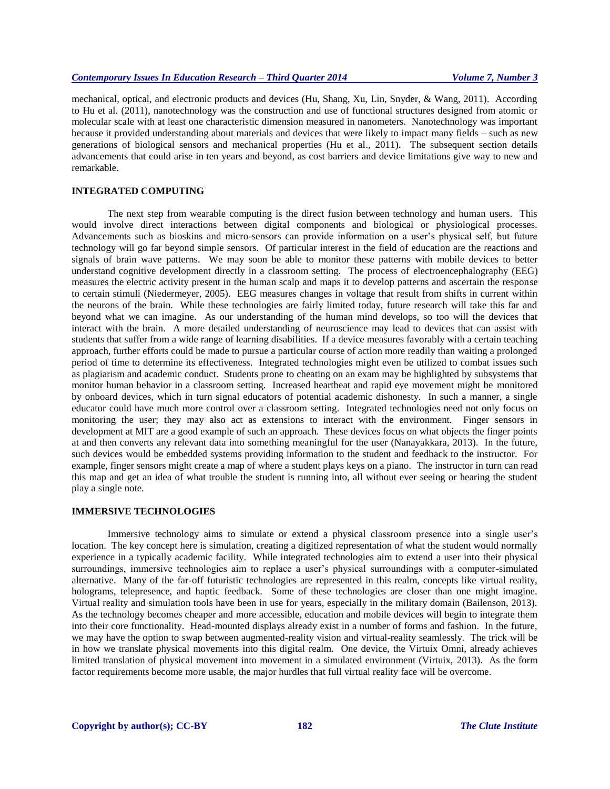mechanical, optical, and electronic products and devices (Hu, Shang, Xu, Lin, Snyder, & Wang, 2011). According to Hu et al. (2011), nanotechnology was the construction and use of functional structures designed from atomic or molecular scale with at least one characteristic dimension measured in nanometers. Nanotechnology was important because it provided understanding about materials and devices that were likely to impact many fields – such as new generations of biological sensors and mechanical properties (Hu et al., 2011). The subsequent section details advancements that could arise in ten years and beyond, as cost barriers and device limitations give way to new and remarkable.

# **INTEGRATED COMPUTING**

The next step from wearable computing is the direct fusion between technology and human users. This would involve direct interactions between digital components and biological or physiological processes. Advancements such as bioskins and micro-sensors can provide information on a user's physical self, but future technology will go far beyond simple sensors. Of particular interest in the field of education are the reactions and signals of brain wave patterns. We may soon be able to monitor these patterns with mobile devices to better understand cognitive development directly in a classroom setting. The process of electroencephalography (EEG) measures the electric activity present in the human scalp and maps it to develop patterns and ascertain the response to certain stimuli (Niedermeyer, 2005). EEG measures changes in voltage that result from shifts in current within the neurons of the brain. While these technologies are fairly limited today, future research will take this far and beyond what we can imagine. As our understanding of the human mind develops, so too will the devices that interact with the brain. A more detailed understanding of neuroscience may lead to devices that can assist with students that suffer from a wide range of learning disabilities. If a device measures favorably with a certain teaching approach, further efforts could be made to pursue a particular course of action more readily than waiting a prolonged period of time to determine its effectiveness. Integrated technologies might even be utilized to combat issues such as plagiarism and academic conduct. Students prone to cheating on an exam may be highlighted by subsystems that monitor human behavior in a classroom setting. Increased heartbeat and rapid eye movement might be monitored by onboard devices, which in turn signal educators of potential academic dishonesty. In such a manner, a single educator could have much more control over a classroom setting. Integrated technologies need not only focus on monitoring the user; they may also act as extensions to interact with the environment. Finger sensors in development at MIT are a good example of such an approach. These devices focus on what objects the finger points at and then converts any relevant data into something meaningful for the user (Nanayakkara, 2013). In the future, such devices would be embedded systems providing information to the student and feedback to the instructor. For example, finger sensors might create a map of where a student plays keys on a piano. The instructor in turn can read this map and get an idea of what trouble the student is running into, all without ever seeing or hearing the student play a single note.

### **IMMERSIVE TECHNOLOGIES**

Immersive technology aims to simulate or extend a physical classroom presence into a single user's location. The key concept here is simulation, creating a digitized representation of what the student would normally experience in a typically academic facility. While integrated technologies aim to extend a user into their physical surroundings, immersive technologies aim to replace a user's physical surroundings with a computer-simulated alternative. Many of the far-off futuristic technologies are represented in this realm, concepts like virtual reality, holograms, telepresence, and haptic feedback. Some of these technologies are closer than one might imagine. Virtual reality and simulation tools have been in use for years, especially in the military domain (Bailenson, 2013). As the technology becomes cheaper and more accessible, education and mobile devices will begin to integrate them into their core functionality. Head-mounted displays already exist in a number of forms and fashion. In the future, we may have the option to swap between augmented-reality vision and virtual-reality seamlessly. The trick will be in how we translate physical movements into this digital realm. One device, the Virtuix Omni, already achieves limited translation of physical movement into movement in a simulated environment (Virtuix, 2013). As the form factor requirements become more usable, the major hurdles that full virtual reality face will be overcome.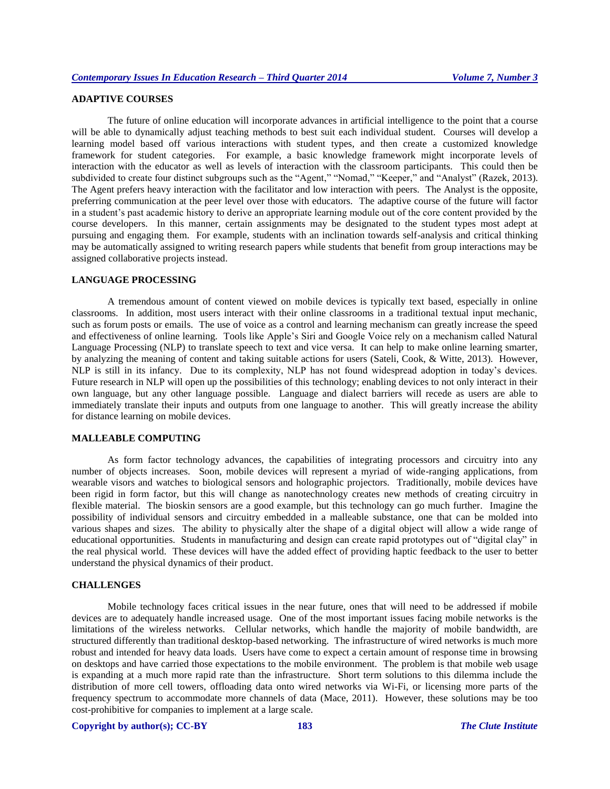# **ADAPTIVE COURSES**

The future of online education will incorporate advances in artificial intelligence to the point that a course will be able to dynamically adjust teaching methods to best suit each individual student. Courses will develop a learning model based off various interactions with student types, and then create a customized knowledge framework for student categories. For example, a basic knowledge framework might incorporate levels of interaction with the educator as well as levels of interaction with the classroom participants. This could then be subdivided to create four distinct subgroups such as the "Agent," "Nomad," "Keeper," and "Analyst" (Razek, 2013). The Agent prefers heavy interaction with the facilitator and low interaction with peers. The Analyst is the opposite, preferring communication at the peer level over those with educators. The adaptive course of the future will factor in a student's past academic history to derive an appropriate learning module out of the core content provided by the course developers. In this manner, certain assignments may be designated to the student types most adept at pursuing and engaging them. For example, students with an inclination towards self-analysis and critical thinking may be automatically assigned to writing research papers while students that benefit from group interactions may be assigned collaborative projects instead.

## **LANGUAGE PROCESSING**

A tremendous amount of content viewed on mobile devices is typically text based, especially in online classrooms. In addition, most users interact with their online classrooms in a traditional textual input mechanic, such as forum posts or emails. The use of voice as a control and learning mechanism can greatly increase the speed and effectiveness of online learning. Tools like Apple's Siri and Google Voice rely on a mechanism called Natural Language Processing (NLP) to translate speech to text and vice versa. It can help to make online learning smarter, by analyzing the meaning of content and taking suitable actions for users (Sateli, Cook, & Witte, 2013). However, NLP is still in its infancy. Due to its complexity, NLP has not found widespread adoption in today's devices. Future research in NLP will open up the possibilities of this technology; enabling devices to not only interact in their own language, but any other language possible. Language and dialect barriers will recede as users are able to immediately translate their inputs and outputs from one language to another. This will greatly increase the ability for distance learning on mobile devices.

# **MALLEABLE COMPUTING**

As form factor technology advances, the capabilities of integrating processors and circuitry into any number of objects increases. Soon, mobile devices will represent a myriad of wide-ranging applications, from wearable visors and watches to biological sensors and holographic projectors. Traditionally, mobile devices have been rigid in form factor, but this will change as nanotechnology creates new methods of creating circuitry in flexible material. The bioskin sensors are a good example, but this technology can go much further. Imagine the possibility of individual sensors and circuitry embedded in a malleable substance, one that can be molded into various shapes and sizes. The ability to physically alter the shape of a digital object will allow a wide range of educational opportunities. Students in manufacturing and design can create rapid prototypes out of "digital clay" in the real physical world. These devices will have the added effect of providing haptic feedback to the user to better understand the physical dynamics of their product.

### **CHALLENGES**

Mobile technology faces critical issues in the near future, ones that will need to be addressed if mobile devices are to adequately handle increased usage. One of the most important issues facing mobile networks is the limitations of the wireless networks. Cellular networks, which handle the majority of mobile bandwidth, are structured differently than traditional desktop-based networking. The infrastructure of wired networks is much more robust and intended for heavy data loads. Users have come to expect a certain amount of response time in browsing on desktops and have carried those expectations to the mobile environment. The problem is that mobile web usage is expanding at a much more rapid rate than the infrastructure. Short term solutions to this dilemma include the distribution of more cell towers, offloading data onto wired networks via Wi-Fi, or licensing more parts of the frequency spectrum to accommodate more channels of data (Mace, 2011). However, these solutions may be too cost-prohibitive for companies to implement at a large scale.

# **Copyright by author(s); CC-BY 183** *The Clute Institute*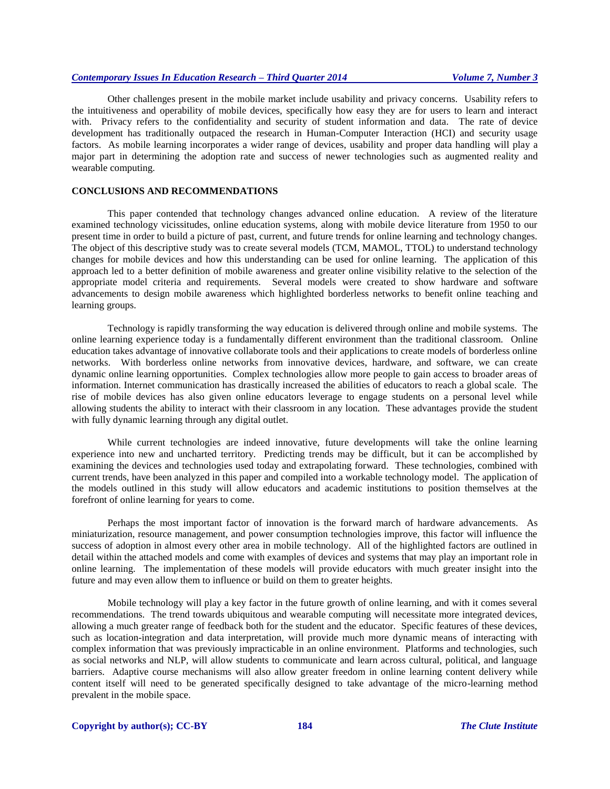Other challenges present in the mobile market include usability and privacy concerns. Usability refers to the intuitiveness and operability of mobile devices, specifically how easy they are for users to learn and interact with. Privacy refers to the confidentiality and security of student information and data. The rate of device development has traditionally outpaced the research in Human-Computer Interaction (HCI) and security usage factors. As mobile learning incorporates a wider range of devices, usability and proper data handling will play a major part in determining the adoption rate and success of newer technologies such as augmented reality and wearable computing.

# **CONCLUSIONS AND RECOMMENDATIONS**

This paper contended that technology changes advanced online education. A review of the literature examined technology vicissitudes, online education systems, along with mobile device literature from 1950 to our present time in order to build a picture of past, current, and future trends for online learning and technology changes. The object of this descriptive study was to create several models (TCM, MAMOL, TTOL) to understand technology changes for mobile devices and how this understanding can be used for online learning. The application of this approach led to a better definition of mobile awareness and greater online visibility relative to the selection of the appropriate model criteria and requirements. Several models were created to show hardware and software advancements to design mobile awareness which highlighted borderless networks to benefit online teaching and learning groups.

Technology is rapidly transforming the way education is delivered through online and mobile systems. The online learning experience today is a fundamentally different environment than the traditional classroom. Online education takes advantage of innovative collaborate tools and their applications to create models of borderless online networks. With borderless online networks from innovative devices, hardware, and software, we can create dynamic online learning opportunities. Complex technologies allow more people to gain access to broader areas of information. Internet communication has drastically increased the abilities of educators to reach a global scale. The rise of mobile devices has also given online educators leverage to engage students on a personal level while allowing students the ability to interact with their classroom in any location. These advantages provide the student with fully dynamic learning through any digital outlet.

While current technologies are indeed innovative, future developments will take the online learning experience into new and uncharted territory. Predicting trends may be difficult, but it can be accomplished by examining the devices and technologies used today and extrapolating forward. These technologies, combined with current trends, have been analyzed in this paper and compiled into a workable technology model. The application of the models outlined in this study will allow educators and academic institutions to position themselves at the forefront of online learning for years to come.

Perhaps the most important factor of innovation is the forward march of hardware advancements. As miniaturization, resource management, and power consumption technologies improve, this factor will influence the success of adoption in almost every other area in mobile technology. All of the highlighted factors are outlined in detail within the attached models and come with examples of devices and systems that may play an important role in online learning. The implementation of these models will provide educators with much greater insight into the future and may even allow them to influence or build on them to greater heights.

Mobile technology will play a key factor in the future growth of online learning, and with it comes several recommendations. The trend towards ubiquitous and wearable computing will necessitate more integrated devices, allowing a much greater range of feedback both for the student and the educator. Specific features of these devices, such as location-integration and data interpretation, will provide much more dynamic means of interacting with complex information that was previously impracticable in an online environment. Platforms and technologies, such as social networks and NLP, will allow students to communicate and learn across cultural, political, and language barriers. Adaptive course mechanisms will also allow greater freedom in online learning content delivery while content itself will need to be generated specifically designed to take advantage of the micro-learning method prevalent in the mobile space.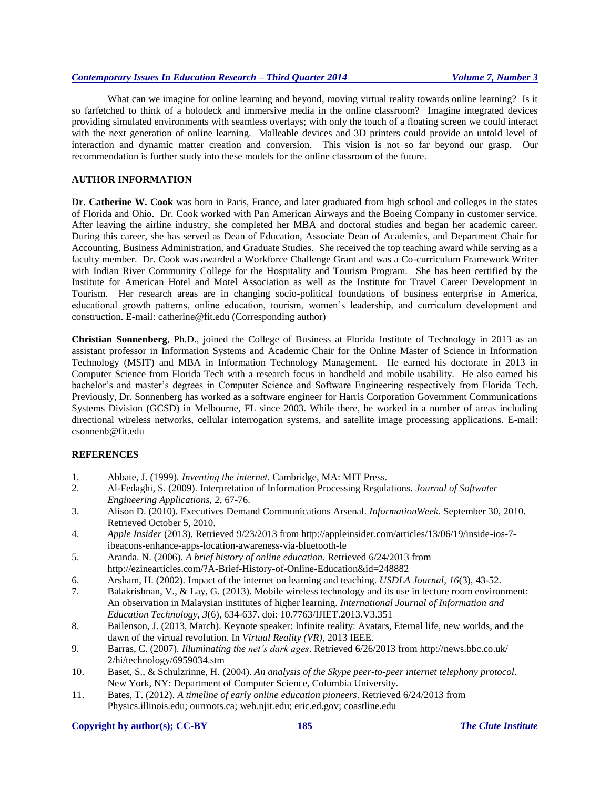What can we imagine for online learning and beyond, moving virtual reality towards online learning? Is it so farfetched to think of a holodeck and immersive media in the online classroom? Imagine integrated devices providing simulated environments with seamless overlays; with only the touch of a floating screen we could interact with the next generation of online learning. Malleable devices and 3D printers could provide an untold level of interaction and dynamic matter creation and conversion. This vision is not so far beyond our grasp. Our recommendation is further study into these models for the online classroom of the future.

# **AUTHOR INFORMATION**

**Dr. Catherine W. Cook** was born in Paris, France, and later graduated from high school and colleges in the states of Florida and Ohio. Dr. Cook worked with Pan American Airways and the Boeing Company in customer service. After leaving the airline industry, she completed her MBA and doctoral studies and began her academic career. During this career, she has served as Dean of Education, Associate Dean of Academics, and Department Chair for Accounting, Business Administration, and Graduate Studies. She received the top teaching award while serving as a faculty member. Dr. Cook was awarded a Workforce Challenge Grant and was a Co-curriculum Framework Writer with Indian River Community College for the Hospitality and Tourism Program. She has been certified by the Institute for American Hotel and Motel Association as well as the Institute for Travel Career Development in Tourism. Her research areas are in changing socio-political foundations of business enterprise in America, educational growth patterns, online education, tourism, women's leadership, and curriculum development and construction. E-mail: [catherine@fit.edu](mailto:catherine@fit.edu) (Corresponding author)

**Christian Sonnenberg**, Ph.D., joined the College of Business at Florida Institute of Technology in 2013 as an assistant professor in Information Systems and Academic Chair for the Online Master of Science in Information Technology (MSIT) and MBA in Information Technology Management. He earned his doctorate in 2013 in Computer Science from Florida Tech with a research focus in handheld and mobile usability. He also earned his bachelor's and master's degrees in Computer Science and Software Engineering respectively from Florida Tech. Previously, Dr. Sonnenberg has worked as a software engineer for Harris Corporation Government Communications Systems Division (GCSD) in Melbourne, FL since 2003. While there, he worked in a number of areas including directional wireless networks, cellular interrogation systems, and satellite image processing applications. E-mail: [csonnenb@fit.edu](mailto:csonnenberg@fit.edu)

# **REFERENCES**

- 1. Abbate, J. (1999). *[Inventing the internet](http://mitpress.mit.edu/catalog/item/default.asp?ttype=2&tid=4633)*. Cambridge, MA: MIT Press.
- 2. Al-Fedaghi, S. (2009). Interpretation of Information Processing Regulations. *Journal of Softwater Engineering Applications, 2*, 67-76.
- 3. Alison D. (2010). Executives Demand Communications Arsenal. *InformationWeek*. September 30, 2010. Retrieved October 5, 2010.
- 4. *Apple Insider* (2013). Retrieved 9/23/2013 from http://appleinsider.com/articles/13/06/19/inside-ios-7 ibeacons-enhance-apps-location-awareness-via-bluetooth-le
- 5. Aranda. N. (2006). *A brief history of online education*. Retrieved 6/24/2013 from http://ezinearticles.com/?A-Brief-History-of-Online-Education&id=248882
- 6. Arsham, H. (2002). Impact of the internet on learning and teaching. *USDLA Journal, 16*(3), 43-52.
- 7. Balakrishnan, V., & Lay, G. (2013). Mobile wireless technology and its use in lecture room environment: An observation in Malaysian institutes of higher learning. *International Journal of Information and Education Technology, 3*(6), 634-637. doi: 10.7763/IJIET.2013.V3.351
- 8. Bailenson, J. (2013, March). Keynote speaker: Infinite reality: Avatars, Eternal life, new worlds, and the dawn of the virtual revolution. In *Virtual Reality (VR),* 2013 IEEE.
- 9. Barras, C. (2007). *Illuminating the net's dark ages*. Retrieved 6/26/2013 from http://news.bbc.co.uk/ 2/hi/technology/6959034.stm
- 10. Baset, S., & Schulzrinne, H. (2004). *An analysis of the Skype peer-to-peer internet telephony protocol*. New York, NY: Department of Computer Science, Columbia University.
- 11. Bates, T. (2012). *A timeline of early online education pioneers*. Retrieved 6/24/2013 from Physics.illinois.edu; ourroots.ca; web.njit.edu; eric.ed.gov; coastline.edu

#### **Copyright by author(s); CC-BY 185** *The Clute Institute*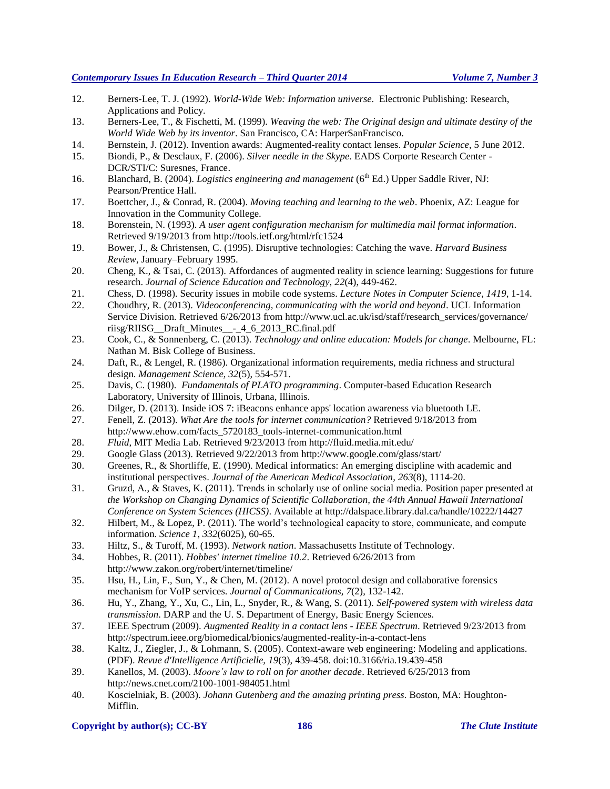- 12. Berners-Lee, T. J. (1992). *World-Wide Web: Information universe*. Electronic Publishing: Research, Applications and Policy.
- 13. Berners-Lee, T., & Fischetti, M. (1999). *Weaving the web: The Original design and ultimate destiny of the World Wide Web by its inventor*. San Francisco, CA: HarperSanFrancisco.
- 14. Bernstein, J. (2012). Invention awards: Augmented-reality contact lenses. *Popular Science*, 5 June 2012.
- 15. Biondi, P., & Desclaux, F. (2006). *Silver needle in the Skype*. EADS Corporte Research Center DCR/STI/C: Suresnes, France.
- 16. Blanchard, B. (2004). *Logistics engineering and management* (6<sup>th</sup> Ed.) Upper Saddle River, NJ: Pearson/Prentice Hall.
- 17. Boettcher, J., & Conrad, R. (2004). *Moving teaching and learning to the web*. Phoenix, AZ: League for Innovation in the Community College.
- 18. Borenstein, N. (1993). *A user agent configuration mechanism for multimedia mail format information*. Retrieved 9/19/2013 from http://tools.ietf.org/html/rfc1524
- 19. Bower, J., & Christensen, C. (1995). Disruptive technologies: Catching the wave. *[Harvard Business](http://en.wikipedia.org/wiki/Harvard_Business_Review)  [Review](http://en.wikipedia.org/wiki/Harvard_Business_Review)*, January–February 1995.
- 20. Cheng, K., & Tsai, C. (2013). Affordances of augmented reality in science learning: Suggestions for future research. *Journal of Science Education and Technology, 22*(4), 449-462.
- 21. Chess, D. (1998). Security issues in mobile code systems. *[Lecture Notes in Computer Science,](http://link.springer.com/bookseries/558) 1419*, 1-14.
- 22. Choudhry, R. (2013). *Videoconferencing, communicating with the world and beyond*. UCL Information Service Division. Retrieved 6/26/2013 from http://www.ucl.ac.uk/isd/staff/research\_services/governance/ riisg/RIISG\_\_Draft\_Minutes\_\_-\_4\_6\_2013\_RC.final.pdf
- 23. Cook, C., & Sonnenberg, C. (2013). *Technology and online education: Models for change*. Melbourne, FL: Nathan M. Bisk College of Business.
- 24. Daft, R., & Lengel, R. (1986). Organizational information requirements, media richness and structural design. *Management Science, 32*(5), 554-571.
- 25. Davis, C. (1980). *Fundamentals of PLATO programming*. Computer-based Education Research Laboratory, University of Illinois, Urbana, Illinois.
- 26. Dilger, D. (2013). Inside iOS 7: iBeacons enhance apps' location awareness via bluetooth LE.
- 27. Fenell, Z. (2013). *What Are the tools for internet communication?* Retrieved 9/18/2013 from http://www.ehow.com/facts\_5720183\_tools-internet-communication.html
- 28. *Fluid*, MIT Media Lab. Retrieved 9/23/2013 from http://fluid.media.mit.edu/
- 29. Google Glass (2013). Retrieved 9/22/2013 from http://www.google.com/glass/start/
- 30. Greenes, R., & Shortliffe, E. (1990). Medical informatics: An emerging discipline with academic and institutional perspectives. *Journal of the American Medical Association, 263*(8), 1114-20.
- 31. Gruzd, A., & Staves, K. (2011). Trends in scholarly use of online social media. Position paper presented at *the Workshop on Changing Dynamics of Scientific Collaboration, the 44th Annual Hawaii International Conference on System Sciences (HICSS)*. Available at http://dalspace.library.dal.ca/handle/10222/14427
- 32. Hilbert, M., & Lopez, P. (2011). The world's technological capacity to store, communicate, and compute information. *Science 1, 332*(6025), 60-65.
- 33. Hiltz, S., & Turoff, M. (1993). *Network nation*. Massachusetts Institute of Technology.
- 34. Hobbes, R. (2011). *Hobbes' internet timeline 10.2*. Retrieved 6/26/2013 from http://www.zakon.org/robert/internet/timeline/
- 35. Hsu, H., Lin, F., Sun, Y., & Chen, M. (2012). A novel protocol design and collaborative forensics mechanism for VoIP services. *Journal of Communications, 7*(2), 132-142.
- 36. Hu, Y., Zhang, Y., Xu, C., Lin, L., Snyder, R., & Wang, S. (2011). *Self-powered system with wireless data transmission*. DARP and the U. S. Department of Energy, Basic Energy Sciences.
- 37. IEEE Spectrum (2009). *Augmented Reality [in a contact](http://spectrum.ieee.org/biomedical/bionics/augmented-reality-in-a-contact-lens/0) lens - IEEE Spectrum*. Retrieved 9/23/2013 from <http://spectrum.ieee.org/biomedical/bionics/augmented-reality-in-a-contact-lens>
- 38. Kaltz, J., Ziegler, J., & Lohmann, S. (2005). Context-aware web engineering: Modeling and applications. (PDF). *Revue d'Intelligence Artificielle, 19*(3), 439-458[. doi:](http://en.wikipedia.org/wiki/Digital_object_identifier)10.3166/ria.19.439-458
- 39. Kanellos, M. (2003). *Moore's law to roll on for another decade*. Retrieved 6/25/2013 from http://news.cnet.com/2100-1001-984051.html
- 40. Koscielniak, B. (2003). *Johann Gutenberg and the amazing printing press*. Boston, MA: Houghton-Mifflin.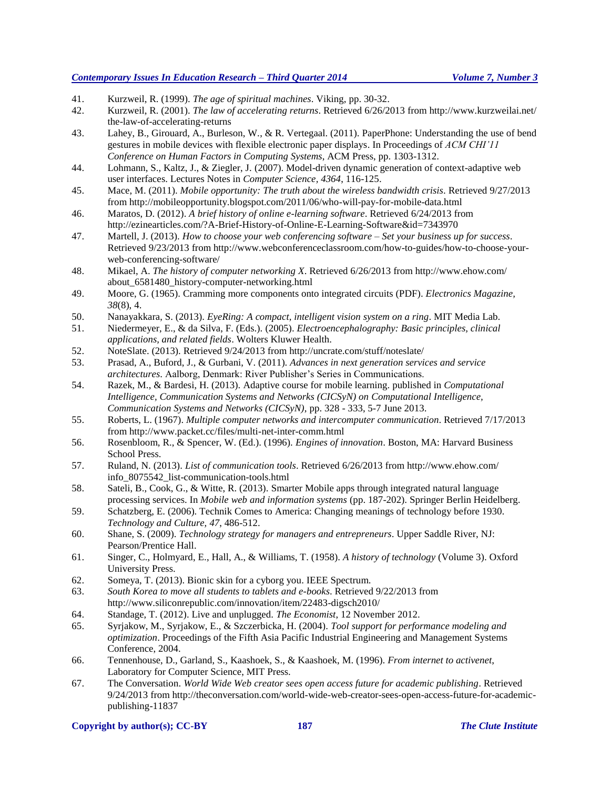- 41. Kurzweil, R. (1999). *The age of spiritual machines*. [Viking,](http://en.wikipedia.org/wiki/Viking_Press) [pp. 30-](http://books.google.com/books?id=ldAGcyh0bkUC&lpg=PP1&pg=PA630#v=onepage&q&f=false)32.
- 42. Kurzweil, R. (2001). *The law of accelerating returns*. Retrieved 6/26/2013 from http://www.kurzweilai.net/ the-law-of-accelerating-returns
- 43. Lahey, B., Girouard, A., Burleson, W., & R. Vertegaal. (2011). PaperPhone: Understanding the use of bend gestures in mobile devices with flexible electronic paper displays. In Proceedings of *ACM CHI'11 Conference on Human Factors in Computing Systems*, ACM Press, pp. 1303-1312.
- 44. Lohmann, S., Kaltz, J., & Ziegler, J. (2007). Model-driven dynamic generation of context-adaptive web user interfaces. Lectures Notes in *Computer Science, 4364*, 116-125.
- 45. Mace, M. (2011). *Mobile opportunity: The truth about the wireless bandwidth crisis*. Retrieved 9/27/2013 from http://mobileopportunity.blogspot.com/2011/06/who-will-pay-for-mobile-data.html
- 46. Maratos, D. (2012). *A brief history of online e-learning software*. Retrieved 6/24/2013 from http://ezinearticles.com/?A-Brief-History-of-Online-E-Learning-Software&id=7343970
- 47. Martell, J. (2013). *How to choose your web conferencing software – Set your business up for success*. Retrieved 9/23/2013 from http://www.webconferenceclassroom.com/how-to-guides/how-to-choose-yourweb-conferencing-software/
- 48. Mikael, A. *The history of computer networking X*. Retrieved 6/26/2013 from http://www.ehow.com/ about\_6581480\_history-computer-networking.html
- 49. Moore, G. (1965). Cramming more components onto integrated circuits (PDF). *[Electronics Magazine,](http://en.wikipedia.org/wiki/Electronics_(magazine)) 38*(8), 4.
- 50. Nanayakkara, S. (2013). *EyeRing: A compact, intelligent vision system on a ring*. MIT Media Lab.
- 51. Niedermeyer, E., & da Silva, F. (Eds.). (2005). *Electroencephalography: Basic principles, clinical applications, and related fields*. Wolters Kluwer Health.
- 52. NoteSlate. (2013). Retrieved 9/24/2013 from http://uncrate.com/stuff/noteslate/
- 53. Prasad, A., Buford, J., & Gurbani, V. (2011). *Advances in next generation services and service architectures*. Aalborg, Denmark: River Publisher's Series in Communications.
- 54. Razek, M., & Bardesi, H. (2013). Adaptive course for mobile learning. published in *Computational Intelligence, Communication Systems and Networks (CICSyN) on Computational Intelligence, Communication Systems and Networks (CICSyN)*, pp. 328 - 333, 5-7 June 2013.
- 55. Roberts, L. (1967). *Multiple computer networks and intercomputer communication*. Retrieved 7/17/2013 from http://www.packet.cc/files/multi-net-inter-comm.html
- 56. Rosenbloom, R., & Spencer, W. (Ed.). (1996). *Engines of innovation*. Boston, MA: Harvard Business School Press.
- 57. Ruland, N. (2013). *List of communication tools*. Retrieved 6/26/2013 from http://www.ehow.com/ info\_8075542\_list-communication-tools.html
- 58. Sateli, B., Cook, G., & Witte, R. (2013). Smarter Mobile apps through integrated natural language processing services. In *Mobile web and information systems* (pp. 187-202). Springer Berlin Heidelberg.
- 59. Schatzberg, E. (2006). Technik Comes to America: Changing meanings of technology before 1930. *Technology and Culture, 47*, 486-512.
- 60. Shane, S. (2009). *Technology strategy for managers and entrepreneurs*. Upper Saddle River, NJ: Pearson/Prentice Hall.
- 61. Singer, C., Holmyard, E., Hall, A., & Williams, T. (1958). *A history of technology* (Volume 3). [Oxford](http://en.wikipedia.org/wiki/Oxford_University_Press)  [University Press.](http://en.wikipedia.org/wiki/Oxford_University_Press)
- 62. Someya, T. (2013). Bionic skin for a cyborg you. IEEE Spectrum.
- 63. *South Korea to move all students to tablets and e-books*. Retrieved 9/22/2013 from http://www.siliconrepublic.com/innovation/item/22483-digsch2010/
- 64. Standage, T. (2012). Live and unplugged. *The Economist*, 12 November 2012.
- 65. Syrjakow, M., Syrjakow, E., & Szczerbicka, H. (2004). *Tool support for performance modeling and optimization*. Proceedings of the Fifth Asia Pacific Industrial Engineering and Management Systems Conference, 2004.
- 66. Tennenhouse, D., Garland, S., Kaashoek, S., & Kaashoek, M. (1996). *From internet to activenet*, Laboratory for Computer Science, MIT Press.
- 67. The Conversation. *World Wide Web creator sees open access future for academic publishing*. Retrieved 9/24/2013 from http://theconversation.com/world-wide-web-creator-sees-open-access-future-for-academicpublishing-11837